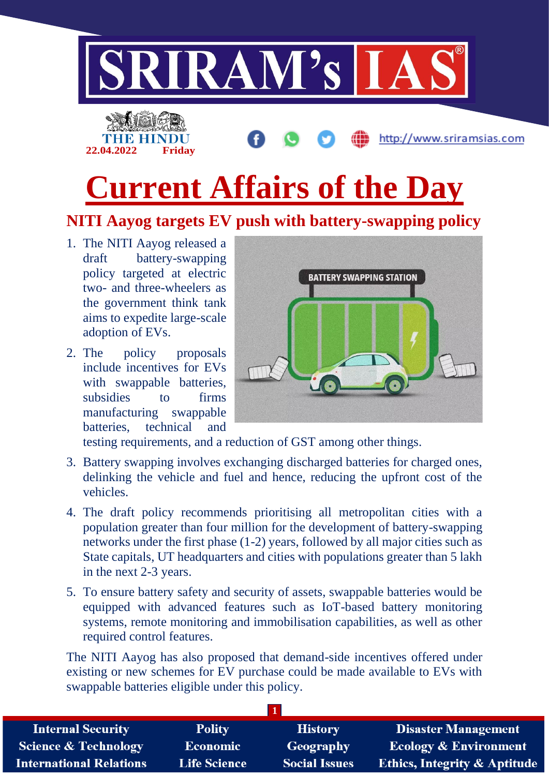

# **NITI Aayog targets EV push with battery-swapping policy**

- 1. The NITI Aayog released a draft battery-swapping policy targeted at electric two- and three-wheelers as the government think tank aims to expedite large-scale adoption of EVs.
- 2. The policy proposals include incentives for EVs with swappable batteries, subsidies to firms manufacturing swappable batteries, technical and



testing requirements, and a reduction of GST among other things.

- 3. Battery swapping involves exchanging discharged batteries for charged ones, delinking the vehicle and fuel and hence, reducing the upfront cost of the vehicles.
- 4. The draft policy recommends prioritising all metropolitan cities with a population greater than four million for the development of battery-swapping networks under the first phase (1-2) years, followed by all major cities such as State capitals, UT headquarters and cities with populations greater than 5 lakh in the next 2-3 years.
- 5. To ensure battery safety and security of assets, swappable batteries would be equipped with advanced features such as IoT-based battery monitoring systems, remote monitoring and immobilisation capabilities, as well as other required control features.

The NITI Aayog has also proposed that demand-side incentives offered under existing or new schemes for EV purchase could be made available to EVs with swappable batteries eligible under this policy.

| <b>Internal Security</b>        | <b>Polity</b>       | <b>History</b>       | <b>Disaster Management</b>              |
|---------------------------------|---------------------|----------------------|-----------------------------------------|
| <b>Science &amp; Technology</b> | <b>Economic</b>     | Geography            | <b>Ecology &amp; Environment</b>        |
| <b>International Relations</b>  | <b>Life Science</b> | <b>Social Issues</b> | <b>Ethics, Integrity &amp; Aptitude</b> |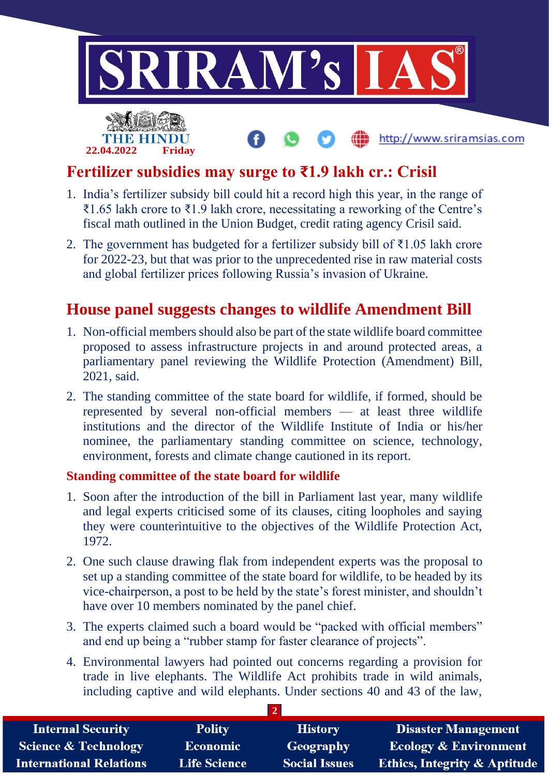

## **Fertilizer subsidies may surge to ₹1.9 lakh cr.: Crisil**

- 1. India's fertilizer subsidy bill could hit a record high this year, in the range of ₹1.65 lakh crore to ₹1.9 lakh crore, necessitating a reworking of the Centre's fiscal math outlined in the Union Budget, credit rating agency Crisil said.
- 2. The government has budgeted for a fertilizer subsidy bill of ₹1.05 lakh crore for 2022-23, but that was prior to the unprecedented rise in raw material costs and global fertilizer prices following Russia's invasion of Ukraine.

### **House panel suggests changes to wildlife Amendment Bill**

- 1. Non-official members should also be part of the state wildlife board committee proposed to assess infrastructure projects in and around protected areas, a parliamentary panel reviewing the Wildlife Protection (Amendment) Bill, 2021, said.
- 2. The standing committee of the state board for wildlife, if formed, should be represented by several non-official members — at least three wildlife institutions and the director of the Wildlife Institute of India or his/her nominee, the parliamentary standing committee on science, technology, environment, forests and climate change cautioned in its report.

#### **Standing committee of the state board for wildlife**

- 1. Soon after the introduction of the bill in Parliament last year, many wildlife and legal experts criticised some of its clauses, citing loopholes and saying they were counterintuitive to the objectives of the Wildlife Protection Act, 1972.
- 2. One such clause drawing flak from independent experts was the proposal to set up a standing committee of the state board for wildlife, to be headed by its vice-chairperson, a post to be held by the state's forest minister, and shouldn't have over 10 members nominated by the panel chief.
- 3. The experts claimed such a board would be "packed with official members" and end up being a "rubber stamp for faster clearance of projects".
- 4. Environmental lawyers had pointed out concerns regarding a provision for trade in live elephants. The Wildlife Act prohibits trade in wild animals, including captive and wild elephants. Under sections 40 and 43 of the law,

| <b>Internal Security</b>        | <b>Polity</b>       | <b>History</b>       | <b>Disaster Management</b>              |  |  |
|---------------------------------|---------------------|----------------------|-----------------------------------------|--|--|
| <b>Science &amp; Technology</b> | Economic            | Geography            | <b>Ecology &amp; Environment</b>        |  |  |
| <b>International Relations</b>  | <b>Life Science</b> | <b>Social Issues</b> | <b>Ethics, Integrity &amp; Aptitude</b> |  |  |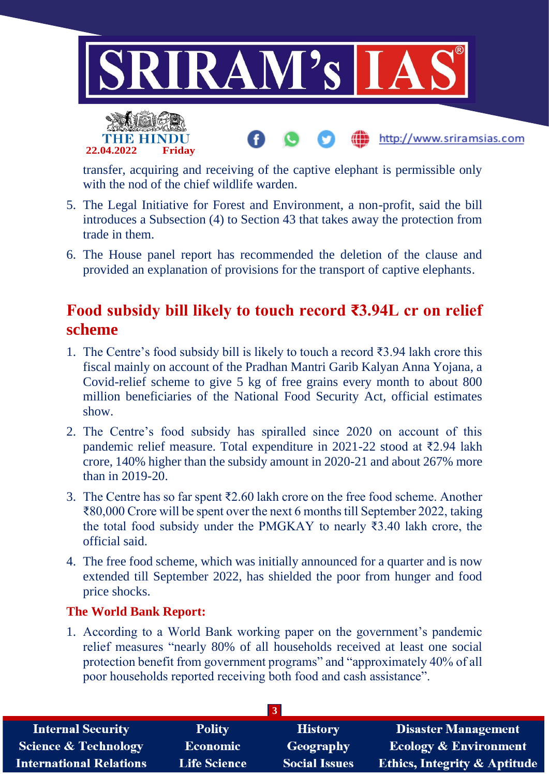

transfer, acquiring and receiving of the captive elephant is permissible only with the nod of the chief wildlife warden.

- 5. The Legal Initiative for Forest and Environment, a non-profit, said the bill introduces a Subsection (4) to Section 43 that takes away the protection from trade in them.
- 6. The House panel report has recommended the deletion of the clause and provided an explanation of provisions for the transport of captive elephants.

### **Food subsidy bill likely to touch record ₹3.94L cr on relief scheme**

- 1. The Centre's food subsidy bill is likely to touch a record ₹3.94 lakh crore this fiscal mainly on account of the Pradhan Mantri Garib Kalyan Anna Yojana, a Covid-relief scheme to give 5 kg of free grains every month to about 800 million beneficiaries of the National Food Security Act, official estimates show.
- 2. The Centre's food subsidy has spiralled since 2020 on account of this pandemic relief measure. Total expenditure in 2021-22 stood at ₹2.94 lakh crore, 140% higher than the subsidy amount in 2020-21 and about 267% more than in 2019-20.
- 3. The Centre has so far spent ₹2.60 lakh crore on the free food scheme. Another ₹80,000 Crore will be spent over the next 6 months till September 2022, taking the total food subsidy under the PMGKAY to nearly ₹3.40 lakh crore, the official said.
- 4. The free food scheme, which was initially announced for a quarter and is now extended till September 2022, has shielded the poor from hunger and food price shocks.

#### **The World Bank Report:**

**22.04.2022 Friday**

1. According to a World Bank working paper on the government's pandemic relief measures "nearly 80% of all households received at least one social protection benefit from government programs" and "approximately 40% of all poor households reported receiving both food and cash assistance".

| <b>Internal Security</b>        | <b>Polity</b>       | <b>History</b>       | <b>Disaster Management</b>              |
|---------------------------------|---------------------|----------------------|-----------------------------------------|
| <b>Science &amp; Technology</b> | <b>Economic</b>     | Geography            | <b>Ecology &amp; Environment</b>        |
| <b>International Relations</b>  | <b>Life Science</b> | <b>Social Issues</b> | <b>Ethics, Integrity &amp; Aptitude</b> |